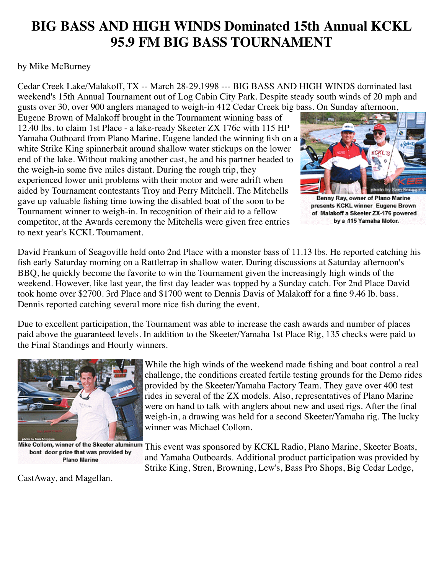## **BIG BASS AND HIGH WINDS Dominated 15th Annual KCKL 95.9 FM BIG BASS TOURNAMENT**

## by Mike McBurney

Cedar Creek Lake/Malakoff, TX -- March 28-29,1998 --- BIG BASS AND HIGH WINDS dominated last weekend's 15th Annual Tournament out of Log Cabin City Park. Despite steady south winds of 20 mph and gusts over 30, over 900 anglers managed to weigh-in 412 Cedar Creek big bass. On Sunday afternoon,

Eugene Brown of Malakoff brought in the Tournament winning bass of 12.40 lbs. to claim 1st Place - a lake-ready Skeeter ZX 176c with 115 HP Yamaha Outboard from Plano Marine. Eugene landed the winning fish on a white Strike King spinnerbait around shallow water stickups on the lower end of the lake. Without making another cast, he and his partner headed to the weigh-in some five miles distant. During the rough trip, they experienced lower unit problems with their motor and were adrift when aided by Tournament contestants Troy and Perry Mitchell. The Mitchells gave up valuable fishing time towing the disabled boat of the soon to be Tournament winner to weigh-in. In recognition of their aid to a fellow competitor, at the Awards ceremony the Mitchells were given free entries to next year's KCKL Tournament.



Benny Ray, owner of Plano Marine presents KCKL winner Eugene Brown of Malakoff a Skeeter ZX-176 powered by a :115 Yamaha Motor.

David Frankum of Seagoville held onto 2nd Place with a monster bass of 11.13 lbs. He reported catching his fish early Saturday morning on a Rattletrap in shallow water. During discussions at Saturday afternoon's BBQ, he quickly become the favorite to win the Tournament given the increasingly high winds of the weekend. However, like last year, the first day leader was topped by a Sunday catch. For 2nd Place David took home over \$2700. 3rd Place and \$1700 went to Dennis Davis of Malakoff for a fine 9.46 lb. bass. Dennis reported catching several more nice fish during the event.

Due to excellent participation, the Tournament was able to increase the cash awards and number of places paid above the guaranteed levels. In addition to the Skeeter/Yamaha 1st Place Rig, 135 checks were paid to the Final Standings and Hourly winners.



boat door prize that was provided by **Plano Marine** 

CastAway, and Magellan.

While the high winds of the weekend made fishing and boat control a real challenge, the conditions created fertile testing grounds for the Demo rides provided by the Skeeter/Yamaha Factory Team. They gave over 400 test rides in several of the ZX models. Also, representatives of Plano Marine were on hand to talk with anglers about new and used rigs. After the final weigh-in, a drawing was held for a second Skeeter/Yamaha rig. The lucky winner was Michael Collom.

Mike Collom, winner of the Skeeter aluminum This event was sponsored by KCKL Radio, Plano Marine, Skeeter Boats, and Yamaha Outboards. Additional product participation was provided by Strike King, Stren, Browning, Lew's, Bass Pro Shops, Big Cedar Lodge,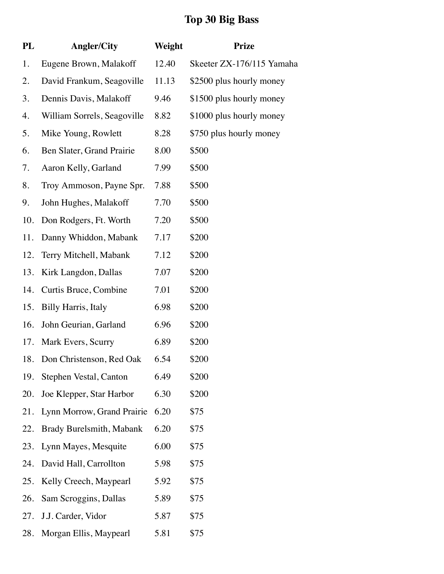## **Top 30 Big Bass**

| PL  | <b>Angler/City</b>          | Weight | <b>Prize</b>              |
|-----|-----------------------------|--------|---------------------------|
| 1.  | Eugene Brown, Malakoff      | 12.40  | Skeeter ZX-176/115 Yamaha |
| 2.  | David Frankum, Seagoville   | 11.13  | \$2500 plus hourly money  |
| 3.  | Dennis Davis, Malakoff      | 9.46   | \$1500 plus hourly money  |
| 4.  | William Sorrels, Seagoville | 8.82   | \$1000 plus hourly money  |
| 5.  | Mike Young, Rowlett         | 8.28   | \$750 plus hourly money   |
| 6.  | Ben Slater, Grand Prairie   | 8.00   | \$500                     |
| 7.  | Aaron Kelly, Garland        | 7.99   | \$500                     |
| 8.  | Troy Ammoson, Payne Spr.    | 7.88   | \$500                     |
| 9.  | John Hughes, Malakoff       | 7.70   | \$500                     |
| 10. | Don Rodgers, Ft. Worth      | 7.20   | \$500                     |
| 11. | Danny Whiddon, Mabank       | 7.17   | \$200                     |
| 12. | Terry Mitchell, Mabank      | 7.12   | \$200                     |
| 13. | Kirk Langdon, Dallas        | 7.07   | \$200                     |
| 14. | Curtis Bruce, Combine       | 7.01   | \$200                     |
| 15. | <b>Billy Harris</b> , Italy | 6.98   | \$200                     |
| 16. | John Geurian, Garland       | 6.96   | \$200                     |
| 17. | Mark Evers, Scurry          | 6.89   | \$200                     |
| 18. | Don Christenson, Red Oak    | 6.54   | \$200                     |
| 19. | Stephen Vestal, Canton      | 6.49   | \$200                     |
| 20. | Joe Klepper, Star Harbor    | 6.30   | \$200                     |
| 21. | Lynn Morrow, Grand Prairie  | 6.20   | \$75                      |
| 22. | Brady Burelsmith, Mabank    | 6.20   | \$75                      |
| 23. | Lynn Mayes, Mesquite        | 6.00   | \$75                      |
| 24. | David Hall, Carrollton      | 5.98   | \$75                      |
| 25. | Kelly Creech, Maypearl      | 5.92   | \$75                      |
| 26. | Sam Scroggins, Dallas       | 5.89   | \$75                      |
| 27. | J.J. Carder, Vidor          | 5.87   | \$75                      |
| 28. | Morgan Ellis, Maypearl      | 5.81   | \$75                      |